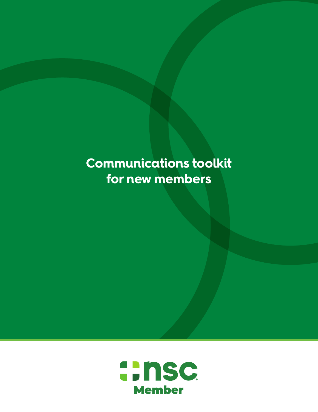# **Communications toolkit for new members**

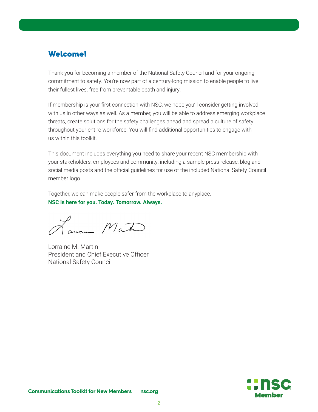# Welcome!

Thank you for becoming a member of the National Safety Council and for your ongoing commitment to safety. You're now part of a century-long mission to enable people to live their fullest lives, free from preventable death and injury.

If membership is your first connection with NSC, we hope you'll consider getting involved with us in other ways as well. As a member, you will be able to address emerging workplace threats, create solutions for the safety challenges ahead and spread a culture of safety throughout your entire workforce. You will find additional opportunities to engage with us within this toolkit.

This document includes everything you need to share your recent NSC membership with your stakeholders, employees and community, including a sample press release, blog and social media posts and the official guidelines for use of the included National Safety Council member logo.

Together, we can make people safer from the workplace to anyplace. **NSC is here for you. Today. Tomorrow. Always.** 

Lourn Mate

Lorraine M. Martin President and Chief Executive Officer National Safety Council

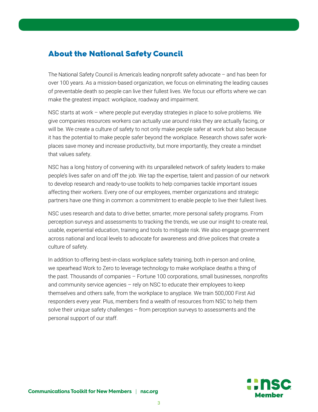# About the National Safety Council

The National Safety Council is America's leading nonprofit safety advocate – and has been for over 100 years. As a mission-based organization, we focus on eliminating the leading causes of preventable death so people can live their fullest lives. We focus our efforts where we can make the greatest impact: workplace, roadway and impairment.

NSC starts at work – where people put everyday strategies in place to solve problems. We give companies resources workers can actually use around risks they are actually facing, or will be. We create a culture of safety to not only make people safer at work but also because it has the potential to make people safer beyond the workplace. Research shows safer workplaces save money and increase productivity, but more importantly, they create a mindset that values safety.

NSC has a long history of convening with its unparalleled network of safety leaders to make people's lives safer on and off the job. We tap the expertise, talent and passion of our network to develop research and ready-to-use toolkits to help companies tackle important issues affecting their workers. Every one of our employees, member organizations and strategic partners have one thing in common: a commitment to enable people to live their fullest lives.

NSC uses research and data to drive better, smarter, more personal safety programs. From perception surveys and assessments to tracking the trends, we use our insight to create real, usable, experiential education, training and tools to mitigate risk. We also engage government across national and local levels to advocate for awareness and drive polices that create a culture of safety.

In addition to offering best-in-class workplace safety training, both in-person and online, we spearhead Work to Zero to leverage technology to make workplace deaths a thing of the past. Thousands of companies – Fortune 100 corporations, small businesses, nonprofits and community service agencies – rely on NSC to educate their employees to keep themselves and others safe, from the workplace to anyplace. We train 500,000 First Aid responders every year. Plus, members find a wealth of resources from NSC to help them solve their unique safety challenges – from perception surveys to assessments and the personal support of our staff.

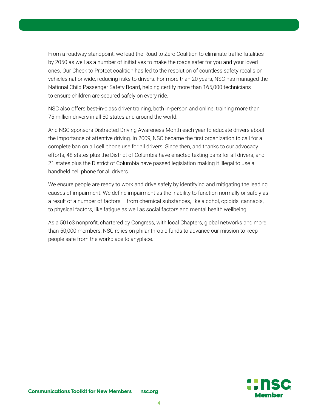From a roadway standpoint, we lead the Road to Zero Coalition to eliminate traffic fatalities by 2050 as well as a number of initiatives to make the roads safer for you and your loved ones. Our Check to Protect coalition has led to the resolution of countless safety recalls on vehicles nationwide, reducing risks to drivers. For more than 20 years, NSC has managed the National Child Passenger Safety Board, helping certify more than 165,000 technicians to ensure children are secured safely on every ride.

NSC also offers best-in-class driver training, both in-person and online, training more than 75 million drivers in all 50 states and around the world.

And NSC sponsors Distracted Driving Awareness Month each year to educate drivers about the importance of attentive driving. In 2009, NSC became the first organization to call for a complete ban on all cell phone use for all drivers. Since then, and thanks to our advocacy efforts, 48 states plus the District of Columbia have enacted texting bans for all drivers, and 21 states plus the District of Columbia have passed legislation making it illegal to use a handheld cell phone for all drivers.

We ensure people are ready to work and drive safely by identifying and mitigating the leading causes of impairment. We define impairment as the inability to function normally or safely as a result of a number of factors – from chemical substances, like alcohol, opioids, cannabis, to physical factors, like fatigue as well as social factors and mental health wellbeing.

As a 501c3 nonprofit, chartered by Congress, with local Chapters, global networks and more than 50,000 members, NSC relies on philanthropic funds to advance our mission to keep people safe from the workplace to anyplace.

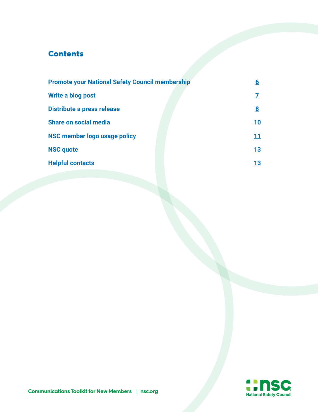# **Contents**

| <b>Promote your National Safety Council membership</b> |  | 6        |
|--------------------------------------------------------|--|----------|
| Write a blog post                                      |  |          |
| Distribute a press release                             |  | <u>8</u> |
| <b>Share on social media</b>                           |  | 10       |
| NSC member logo usage policy                           |  | 11       |
| <b>NSC quote</b>                                       |  | 13       |
| <b>Helpful contacts</b>                                |  | 13       |
|                                                        |  |          |

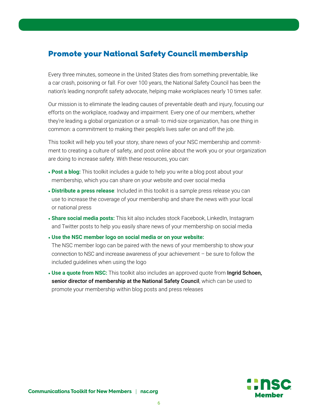# <span id="page-5-0"></span>Promote your National Safety Council membership

Every three minutes, someone in the United States dies from something preventable, like a car crash, poisoning or fall. For over 100 years, the National Safety Council has been the nation's leading nonprofit safety advocate, helping make workplaces nearly 10 times safer.

Our mission is to eliminate the leading causes of preventable death and injury, focusing our efforts on the workplace, roadway and impairment. Every one of our members, whether they're leading a global organization or a small- to mid-size organization, has one thing in common: a commitment to making their people's lives safer on and off the job.

This toolkit will help you tell your story, share news of your NSC membership and commitment to creating a culture of safety, and post online about the work you or your organization are doing to increase safety. With these resources, you can:

- **Post a blog:** This toolkit includes a guide to help you write a blog post about your membership, which you can share on your website and over social media
- **Distribute a press release**: Included in this toolkit is a sample press release you can use to increase the coverage of your membership and share the news with your local or national press
- **Share social media posts:** This kit also includes stock Facebook, LinkedIn, Instagram and Twitter posts to help you easily share news of your membership on social media

• **Use the NSC member logo on social media or on your website:**

The NSC member logo can be paired with the news of your membership to show your connection to NSC and increase awareness of your achievement – be sure to follow the included guidelines when using the logo

• Use a quote from NSC: This toolkit also includes an approved quote from **Ingrid Schoen**, senior director of membership at the National Safety Council, which can be used to promote your membership within blog posts and press releases

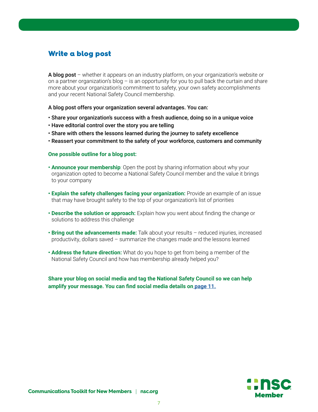# <span id="page-6-0"></span>Write a blog post

A blog post – whether it appears on an industry platform, on your organization's website or on a partner organization's blog  $-$  is an opportunity for you to pull back the curtain and share more about your organization's commitment to safety, your own safety accomplishments and your recent National Safety Council membership.

A blog post offers your organization several advantages. You can:

- Share your organization's success with a fresh audience, doing so in a unique voice
- Have editorial control over the story you are telling
- Share with others the lessons learned during the journey to safety excellence
- Reassert your commitment to the safety of your workforce, customers and community

#### **One possible outline for a blog post:**

- **• Announce your membership**: Open the post by sharing information about why your organization opted to become a National Safety Council member and the value it brings to your company
- **Explain the safety challenges facing your organization:** Provide an example of an issue that may have brought safety to the top of your organization's list of priorities
- **Describe the solution or approach:** Explain how you went about finding the change or solutions to address this challenge
- **Bring out the advancements made:** Talk about your results reduced injuries, increased productivity, dollars saved – summarize the changes made and the lessons learned
- **Address the future direction:** What do you hope to get from being a member of the National Safety Council and how has membership already helped you?

**Share your blog on social media and tag the National Safety Council so we can help amplify your message. You can find social media details on [page 11.](#page-10-0)**

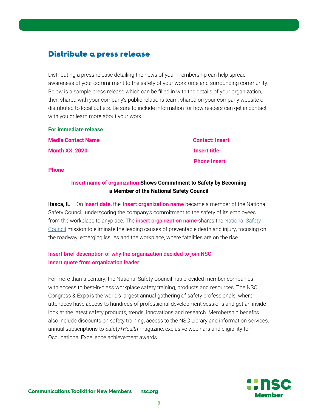### <span id="page-7-0"></span>Distribute a press release

Distributing a press release detailing the news of your membership can help spread awareness of your commitment to the safety of your workforce and surrounding community. Below is a sample press release which can be filled in with the details of your organization, then shared with your company's public relations team, shared on your company website or distributed to local outlets. Be sure to include information for how readers can get in contact with you or learn more about your work.

**For immediate release Media Contact Name Contact: Insert Month XX, 2020 Insert title:** 

 **Phone Insert**

**Phone**

### **Insert name of organization Shows Commitment to Safety by Becoming a Member of the National Safety Council**

**Itasca, IL** – On insert date, the insert organization name became a member of the National Safety Council, underscoring the company's commitment to the safety of its employees from the workplace to anyplace. The **insert organization name** shares the National Safety [Council](https://www.nsc.org/) mission to eliminate the leading causes of preventable death and injury, focusing on the roadway, emerging issues and the workplace, where fatalities are on the rise.

### Insert brief description of why the organization decided to join NSC Insert quote from organization leader

For more than a century, the National Safety Council has provided member companies with access to best-in-class workplace safety training, products and resources. The NSC Congress & Expo is the world's largest annual gathering of safety professionals, where attendees have access to hundreds of professional development sessions and get an inside look at the latest safety products, trends, innovations and research. Membership benefits also include discounts on safety training, access to the NSC Library and information services, annual subscriptions to *Safety+Health* magazine, exclusive webinars and eligibility for Occupational Excellence achievement awards.

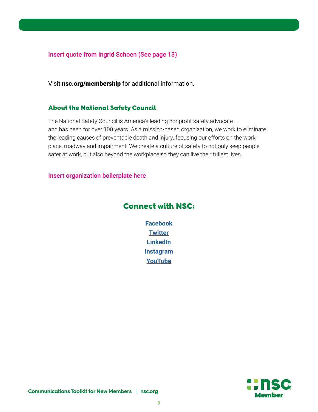Insert quote from Ingrid Schoen (See page 13)

Visit nsc.org/membership for additional information.

#### About the National Safety Council

The National Safety Council is America's leading nonprofit safety advocate – and has been for over 100 years. As a mission-based organization, we work to eliminate the leading causes of preventable death and injury, focusing our efforts on the workplace, roadway and impairment. We create a culture of safety to not only keep people safer at work, but also beyond the workplace so they can live their fullest lives.

Insert organization boilerplate here

### Connect with NSC:

**[Facebook](https://www.facebook.com/NatlSafetyCouncil/) [Twitter](https://twitter.com/nscsafety/) [LinkedIn](https://www.linkedin.com/checkpoint/challengesV2/AQHSeVpisgP49gAAAXOByFPYWN8Thnr58sd1HV3inuyBBQkU-yBXdts8HKsFSleSVZSYrYwKQLW4SnVqMcbVnpWaqGDGRnT_7w) [Instagram](https://www.instagram.com/nationalsafetycouncil/) [YouTube](https://www.youtube.com/user/NatlSafetyCouncil)**

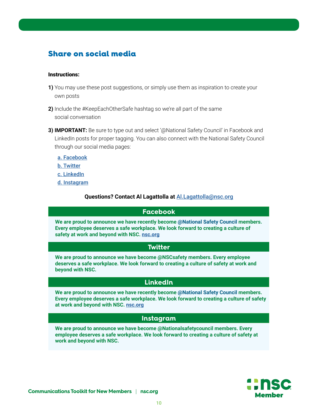# <span id="page-9-0"></span>Share on social media

#### Instructions:

- **1)** You may use these post suggestions, or simply use them as inspiration to create your own posts
- **2)** Include the #KeepEachOtherSafe hashtag so we're all part of the same social conversation
- **3) IMPORTANT:** Be sure to type out and select '@National Safety Council' in Facebook and LinkedIn posts for proper tagging. You can also connect with the National Safety Council through our social media pages:
	- [a. Facebook](https://www.facebook.com/NatlSafetyCouncil/)
	- [b. Twitter](https://twitter.com/nscsafety/)
	- [c. LinkedIn](https://www.linkedin.com/authwall?trk=bf&trkInfo=AQHOvdyPfvCT-gAAAXN0V9jIRQqvms20eATEPHA0wznHl3qbylr_WSKVdFrcRGGegL3FtcilUNeniVOEHxN1WhAqn3Yee2CPtx9vbyDtVp4OuFM6Wddpm0q_J9pwISyuYxl4KoI=&originalReferer=&sessionRedirect=https%3A%2F%2Fwww.linkedin.com%2Fcompany%2Fnational-safety-council)
	- [d. Instagram](https://www.instagram.com/nationalsafetycouncil/)

#### **Questions? Contact Al Lagattolla at** [Al.Lagattolla@nsc.org](mailto:Al.Lagattolla%40nsc.org?subject=)

#### **Facebook**

**We are proud to announce we have recently become @National Safety Council members. Every employee deserves a safe workplace. We look forward to creating a culture of safety at work and beyond with NSC. [nsc.org](https://www.nsc.org/)**

#### **Twitter**

**We are proud to announce we have become @NSCsafety members. Every employee deserves a safe workplace. We look forward to creating a culture of safety at work and beyond with NSC.**

### **LinkedIn**

**We are proud to announce we have recently become @National Safety Council members. Every employee deserves a safe workplace. We look forward to creating a culture of safety at work and beyond with NSC. [nsc.org](https://www.nsc.org/)**

#### **Instagram**

**We are proud to announce we have become @Nationalsafetycouncil members. Every employee deserves a safe workplace. We look forward to creating a culture of safety at work and beyond with NSC.**

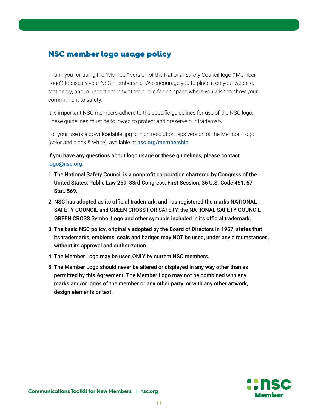# <span id="page-10-0"></span>NSC member logo usage policy

Thank you for using the "Member" version of the National Safety Council logo ("Member Logo") to display your NSC membership. We encourage you to place it on your website, stationary, annual report and any other public facing space where you wish to show your commitment to safety.

It is important NSC members adhere to the specific guidelines for use of the NSC logo. These guidelines must be followed to protect and preserve our trademark.

For your use is a downloadable .jpg or high resolution .eps version of the Member Logo (color and black & white), available at **[nsc.org/membership](https://www.nsc.org/membership/member-resources/member-logo)** 

If you have any questions about logo usage or these guidelines, please contact [logo@nsc.org.](mailto:logo%40nsc.org.%20?subject=)

- 1. The National Safety Council is a nonprofit corporation chartered by Congress of the United States, Public Law 259, 83rd Congress, First Session, 36 U.S. Code 461, 67 Stat. 569.
- 2. NSC has adopted as its official trademark, and has registered the marks NATIONAL SAFETY COUNCIL and GREEN CROSS FOR SAFETY, the NATIONAL SAFETY COUNCIL GREEN CROSS Symbol Logo and other symbols included in its official trademark.
- 3. The basic NSC policy, originally adopted by the Board of Directors in 1957, states that its trademarks, emblems, seals and badges may NOT be used, under any circumstances, without its approval and authorization.
- 4. The Member Logo may be used ONLY by current NSC members.
- 5. The Member Logo should never be altered or displayed in any way other than as permitted by this Agreement. The Member Logo may not be combined with any marks and/or logos of the member or any other party, or with any other artwork, design elements or text.

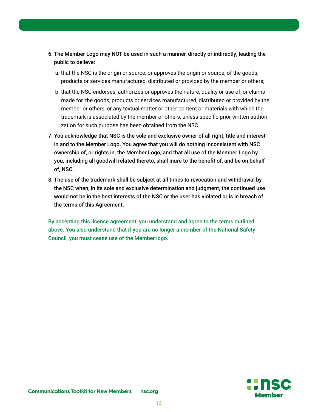- 6. The Member Logo may NOT be used in such a manner, directly or indirectly, leading the public to believe:
	- a. that the NSC is the origin or source, or approves the origin or source, of the goods, products or services manufactured, distributed or provided by the member or others;
	- b. that the NSC endorses, authorizes or approves the nature, quality or use of, or claims made for, the goods, products or services manufactured, distributed or provided by the member or others, or any textual matter or other content or materials with which the trademark is associated by the member or others, unless specific prior written authorization for such purpose has been obtained from the NSC.
- 7. You acknowledge that NSC is the sole and exclusive owner of all right, title and interest in and to the Member Logo. You agree that you will do nothing inconsistent with NSC ownership of, or rights in, the Member Logo, and that all use of the Member Logo by you, including all goodwill related thereto, shall inure to the benefit of, and be on behalf of, NSC.
- 8. The use of the trademark shall be subject at all times to revocation and withdrawal by the NSC when, in its sole and exclusive determination and judgment, the continued use would not be in the best interests of the NSC or the user has violated or is in breach of the terms of this Agreement.

By accepting this license agreement, you understand and agree to the terms outlined above. You also understand that if you are no longer a member of the National Safety Council, you must cease use of the Member logo.